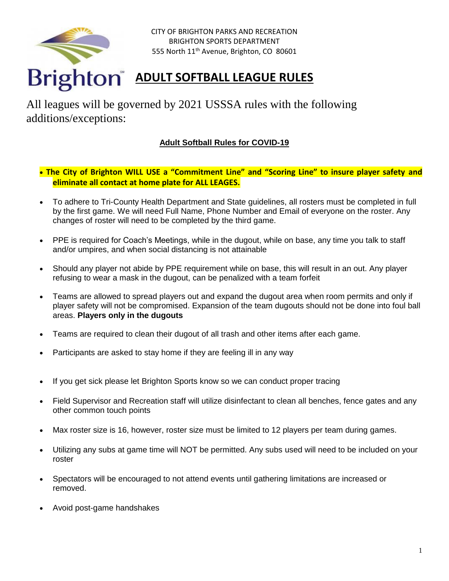

CITY OF BRIGHTON PARKS AND RECREATION BRIGHTON SPORTS DEPARTMENT 555 North 11<sup>th</sup> Avenue, Brighton, CO 80601

# **ADULT SOFTBALL LEAGUE RULES**

All leagues will be governed by 2021 USSSA rules with the following additions/exceptions:

## **Adult Softball Rules for COVID-19**

- **The City of Brighton WILL USE a "Commitment Line" and "Scoring Line" to insure player safety and eliminate all contact at home plate for ALL LEAGES.**
- To adhere to Tri-County Health Department and State guidelines, all rosters must be completed in full by the first game. We will need Full Name, Phone Number and Email of everyone on the roster. Any changes of roster will need to be completed by the third game.
- PPE is required for Coach's Meetings, while in the dugout, while on base, any time you talk to staff and/or umpires, and when social distancing is not attainable
- Should any player not abide by PPE requirement while on base, this will result in an out. Any player refusing to wear a mask in the dugout, can be penalized with a team forfeit
- Teams are allowed to spread players out and expand the dugout area when room permits and only if player safety will not be compromised. Expansion of the team dugouts should not be done into foul ball areas. **Players only in the dugouts**
- Teams are required to clean their dugout of all trash and other items after each game.
- Participants are asked to stay home if they are feeling ill in any way
- If you get sick please let Brighton Sports know so we can conduct proper tracing
- Field Supervisor and Recreation staff will utilize disinfectant to clean all benches, fence gates and any other common touch points
- Max roster size is 16, however, roster size must be limited to 12 players per team during games.
- Utilizing any subs at game time will NOT be permitted. Any subs used will need to be included on your roster
- Spectators will be encouraged to not attend events until gathering limitations are increased or removed.
- Avoid post-game handshakes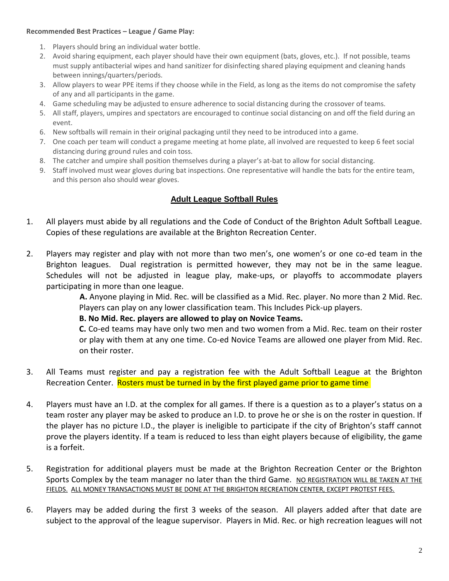#### **Recommended Best Practices – League / Game Play:**

- 1. Players should bring an individual water bottle.
- 2. Avoid sharing equipment, each player should have their own equipment (bats, gloves, etc.). If not possible, teams must supply antibacterial wipes and hand sanitizer for disinfecting shared playing equipment and cleaning hands between innings/quarters/periods.
- 3. Allow players to wear PPE items if they choose while in the Field, as long as the items do not compromise the safety of any and all participants in the game.
- 4. Game scheduling may be adjusted to ensure adherence to social distancing during the crossover of teams.
- 5. All staff, players, umpires and spectators are encouraged to continue social distancing on and off the field during an event.
- 6. New softballs will remain in their original packaging until they need to be introduced into a game.
- 7. One coach per team will conduct a pregame meeting at home plate, all involved are requested to keep 6 feet social distancing during ground rules and coin toss.
- 8. The catcher and umpire shall position themselves during a player's at-bat to allow for social distancing.
- 9. Staff involved must wear gloves during bat inspections. One representative will handle the bats for the entire team, and this person also should wear gloves.

### **Adult League Softball Rules**

- 1. All players must abide by all regulations and the Code of Conduct of the Brighton Adult Softball League. Copies of these regulations are available at the Brighton Recreation Center.
- 2. Players may register and play with not more than two men's, one women's or one co-ed team in the Brighton leagues. Dual registration is permitted however, they may not be in the same league. Schedules will not be adjusted in league play, make-ups, or playoffs to accommodate players participating in more than one league.

 **A.** Anyone playing in Mid. Rec. will be classified as a Mid. Rec. player. No more than 2 Mid. Rec. Players can play on any lower classification team. This Includes Pick-up players.

**B. No Mid. Rec. players are allowed to play on Novice Teams.** 

 **C.** Co-ed teams may have only two men and two women from a Mid. Rec. team on their roster or play with them at any one time. Co-ed Novice Teams are allowed one player from Mid. Rec. on their roster.

- 3. All Teams must register and pay a registration fee with the Adult Softball League at the Brighton Recreation Center. Rosters must be turned in by the first played game prior to game time
- 4. Players must have an I.D. at the complex for all games. If there is a question as to a player's status on a team roster any player may be asked to produce an I.D. to prove he or she is on the roster in question. If the player has no picture I.D., the player is ineligible to participate if the city of Brighton's staff cannot prove the players identity. If a team is reduced to less than eight players because of eligibility, the game is a forfeit.
- 5. Registration for additional players must be made at the Brighton Recreation Center or the Brighton Sports Complex by the team manager no later than the third Game. NO REGISTRATION WILL BE TAKEN AT THE FIELDS. ALL MONEY TRANSACTIONS MUST BE DONE AT THE BRIGHTON RECREATION CENTER, EXCEPT PROTEST FEES.
- 6. Players may be added during the first 3 weeks of the season. All players added after that date are subject to the approval of the league supervisor. Players in Mid. Rec. or high recreation leagues will not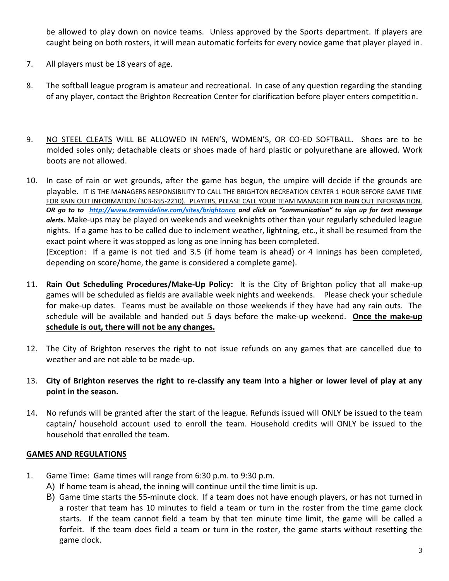be allowed to play down on novice teams. Unless approved by the Sports department. If players are caught being on both rosters, it will mean automatic forfeits for every novice game that player played in.

- 7. All players must be 18 years of age.
- 8. The softball league program is amateur and recreational. In case of any question regarding the standing of any player, contact the Brighton Recreation Center for clarification before player enters competition.
- 9. NO STEEL CLEATS WILL BE ALLOWED IN MEN'S, WOMEN'S, OR CO-ED SOFTBALL. Shoes are to be molded soles only; detachable cleats or shoes made of hard plastic or polyurethane are allowed. Work boots are not allowed.
- 10. In case of rain or wet grounds, after the game has begun, the umpire will decide if the grounds are playable. IT IS THE MANAGERS RESPONSIBILITY TO CALL THE BRIGHTON RECREATION CENTER 1 HOUR BEFORE GAME TIME FOR RAIN OUT INFORMATION (303-655-2210). PLAYERS, PLEASE CALL YOUR TEAM MANAGER FOR RAIN OUT INFORMATION. *OR go to to <http://www.teamsideline.com/sites/brightonco> and click on "communication" to sign up for text message alerts.* Make-ups may be played on weekends and weeknights other than your regularly scheduled league nights. If a game has to be called due to inclement weather, lightning, etc., it shall be resumed from the exact point where it was stopped as long as one inning has been completed. (Exception: If a game is not tied and 3.5 (if home team is ahead) or 4 innings has been completed, depending on score/home, the game is considered a complete game).
- 11. **Rain Out Scheduling Procedures/Make-Up Policy:** It is the City of Brighton policy that all make-up games will be scheduled as fields are available week nights and weekends. Please check your schedule for make-up dates. Teams must be available on those weekends if they have had any rain outs. The schedule will be available and handed out 5 days before the make-up weekend. **Once the make-up schedule is out, there will not be any changes.**
- 12. The City of Brighton reserves the right to not issue refunds on any games that are cancelled due to weather and are not able to be made-up.
- 13. **City of Brighton reserves the right to re-classify any team into a higher or lower level of play at any point in the season.**
- 14. No refunds will be granted after the start of the league. Refunds issued will ONLY be issued to the team captain/ household account used to enroll the team. Household credits will ONLY be issued to the household that enrolled the team.

### **GAMES AND REGULATIONS**

- 1. Game Time: Game times will range from 6:30 p.m. to 9:30 p.m.
	- A) If home team is ahead, the inning will continue until the time limit is up.
	- B) Game time starts the 55-minute clock. If a team does not have enough players, or has not turned in a roster that team has 10 minutes to field a team or turn in the roster from the time game clock starts. If the team cannot field a team by that ten minute time limit, the game will be called a forfeit. If the team does field a team or turn in the roster, the game starts without resetting the game clock.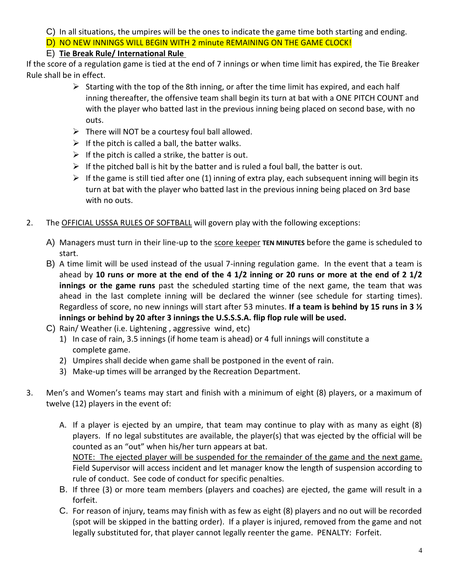C) In all situations, the umpires will be the ones to indicate the game time both starting and ending.

D) NO NEW INNINGS WILL BEGIN WITH 2 minute REMAINING ON THE GAME CLOCK!

# E) **Tie Break Rule/ International Rule**

If the score of a regulation game is tied at the end of 7 innings or when time limit has expired, the Tie Breaker Rule shall be in effect.

- $\triangleright$  Starting with the top of the 8th inning, or after the time limit has expired, and each half inning thereafter, the offensive team shall begin its turn at bat with a ONE PITCH COUNT and with the player who batted last in the previous inning being placed on second base, with no outs.
- $\triangleright$  There will NOT be a courtesy foul ball allowed.
- $\triangleright$  If the pitch is called a ball, the batter walks.
- $\triangleright$  If the pitch is called a strike, the batter is out.
- $\triangleright$  If the pitched ball is hit by the batter and is ruled a foul ball, the batter is out.
- $\triangleright$  If the game is still tied after one (1) inning of extra play, each subsequent inning will begin its turn at bat with the player who batted last in the previous inning being placed on 3rd base with no outs.
- 2. The OFFICIAL USSSA RULES OF SOFTBALL will govern play with the following exceptions:
	- A) Managers must turn in their line-up to the score keeper **TEN MINUTES** before the game is scheduled to start.
	- B) A time limit will be used instead of the usual 7-inning regulation game. In the event that a team is ahead by **10 runs or more at the end of the 4 1/2 inning or 20 runs or more at the end of 2 1/2 innings or the game runs** past the scheduled starting time of the next game, the team that was ahead in the last complete inning will be declared the winner (see schedule for starting times). Regardless of score, no new innings will start after 53 minutes. **If a team is behind by 15 runs in 3 ½ innings or behind by 20 after 3 innings the U.S.S.S.A. flip flop rule will be used.**
	- C) Rain/ Weather (i.e. Lightening , aggressive wind, etc)
		- 1) In case of rain, 3.5 innings (if home team is ahead) or 4 full innings will constitute a complete game.
		- 2) Umpires shall decide when game shall be postponed in the event of rain.
		- 3) Make-up times will be arranged by the Recreation Department.
- 3. Men's and Women's teams may start and finish with a minimum of eight (8) players, or a maximum of twelve (12) players in the event of:
	- A. If a player is ejected by an umpire, that team may continue to play with as many as eight (8) players. If no legal substitutes are available, the player(s) that was ejected by the official will be counted as an "out" when his/her turn appears at bat. NOTE: The ejected player will be suspended for the remainder of the game and the next game. Field Supervisor will access incident and let manager know the length of suspension according to rule of conduct. See code of conduct for specific penalties.
	- B. If three (3) or more team members (players and coaches) are ejected, the game will result in a forfeit.
	- C. For reason of injury, teams may finish with as few as eight (8) players and no out will be recorded (spot will be skipped in the batting order). If a player is injured, removed from the game and not legally substituted for, that player cannot legally reenter the game. PENALTY: Forfeit.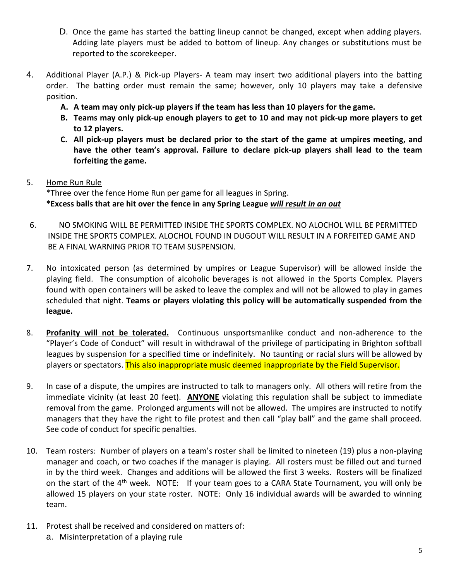- D. Once the game has started the batting lineup cannot be changed, except when adding players. Adding late players must be added to bottom of lineup. Any changes or substitutions must be reported to the scorekeeper.
- 4. Additional Player (A.P.) & Pick-up Players- A team may insert two additional players into the batting order. The batting order must remain the same; however, only 10 players may take a defensive position.
	- **A. A team may only pick-up players if the team has less than 10 players for the game.**
	- **B. Teams may only pick-up enough players to get to 10 and may not pick-up more players to get to 12 players.**
	- **C. All pick-up players must be declared prior to the start of the game at umpires meeting, and have the other team's approval. Failure to declare pick-up players shall lead to the team forfeiting the game.**
- 5. Home Run Rule

\*Three over the fence Home Run per game for all leagues in Spring. **\*Excess balls that are hit over the fence in any Spring League** *will result in an out*

- 6. NO SMOKING WILL BE PERMITTED INSIDE THE SPORTS COMPLEX. NO ALOCHOL WILL BE PERMITTED INSIDE THE SPORTS COMPLEX. ALOCHOL FOUND IN DUGOUT WILL RESULT IN A FORFEITED GAME AND BE A FINAL WARNING PRIOR TO TEAM SUSPENSION.
- 7. No intoxicated person (as determined by umpires or League Supervisor) will be allowed inside the playing field. The consumption of alcoholic beverages is not allowed in the Sports Complex. Players found with open containers will be asked to leave the complex and will not be allowed to play in games scheduled that night. **Teams or players violating this policy will be automatically suspended from the league.**
- 8. **Profanity will not be tolerated.** Continuous unsportsmanlike conduct and non-adherence to the "Player's Code of Conduct" will result in withdrawal of the privilege of participating in Brighton softball leagues by suspension for a specified time or indefinitely. No taunting or racial slurs will be allowed by players or spectators. This also inappropriate music deemed inappropriate by the Field Supervisor.
- 9. In case of a dispute, the umpires are instructed to talk to managers only. All others will retire from the immediate vicinity (at least 20 feet). **ANYONE** violating this regulation shall be subject to immediate removal from the game. Prolonged arguments will not be allowed. The umpires are instructed to notify managers that they have the right to file protest and then call "play ball" and the game shall proceed. See code of conduct for specific penalties.
- 10. Team rosters: Number of players on a team's roster shall be limited to nineteen (19) plus a non-playing manager and coach, or two coaches if the manager is playing. All rosters must be filled out and turned in by the third week. Changes and additions will be allowed the first 3 weeks. Rosters will be finalized on the start of the 4<sup>th</sup> week. NOTE: If your team goes to a CARA State Tournament, you will only be allowed 15 players on your state roster. NOTE: Only 16 individual awards will be awarded to winning team.
- 11. Protest shall be received and considered on matters of:
	- a. Misinterpretation of a playing rule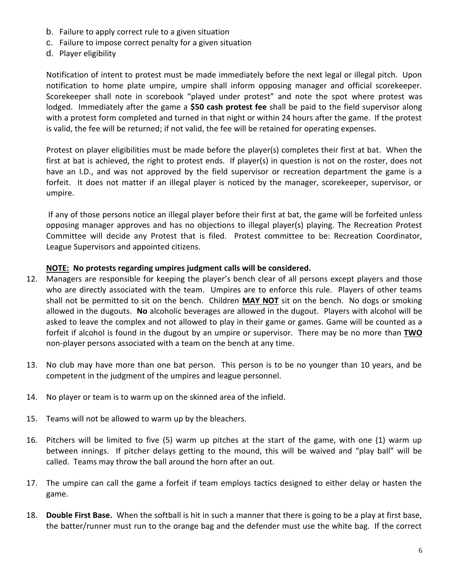- b. Failure to apply correct rule to a given situation
- c. Failure to impose correct penalty for a given situation
- d. Player eligibility

Notification of intent to protest must be made immediately before the next legal or illegal pitch. Upon notification to home plate umpire, umpire shall inform opposing manager and official scorekeeper. Scorekeeper shall note in scorebook "played under protest" and note the spot where protest was lodged. Immediately after the game a **\$50 cash protest fee** shall be paid to the field supervisor along with a protest form completed and turned in that night or within 24 hours after the game. If the protest is valid, the fee will be returned; if not valid, the fee will be retained for operating expenses.

Protest on player eligibilities must be made before the player(s) completes their first at bat. When the first at bat is achieved, the right to protest ends. If player(s) in question is not on the roster, does not have an I.D., and was not approved by the field supervisor or recreation department the game is a forfeit. It does not matter if an illegal player is noticed by the manager, scorekeeper, supervisor, or umpire.

If any of those persons notice an illegal player before their first at bat, the game will be forfeited unless opposing manager approves and has no objections to illegal player(s) playing. The Recreation Protest Committee will decide any Protest that is filed. Protest committee to be: Recreation Coordinator, League Supervisors and appointed citizens.

#### **NOTE: No protests regarding umpires judgment calls will be considered.**

- 12. Managers are responsible for keeping the player's bench clear of all persons except players and those who are directly associated with the team. Umpires are to enforce this rule. Players of other teams shall not be permitted to sit on the bench. Children **MAY NOT** sit on the bench. No dogs or smoking allowed in the dugouts. **No** alcoholic beverages are allowed in the dugout. Players with alcohol will be asked to leave the complex and not allowed to play in their game or games. Game will be counted as a forfeit if alcohol is found in the dugout by an umpire or supervisor. There may be no more than **TWO** non-player persons associated with a team on the bench at any time.
- 13. No club may have more than one bat person. This person is to be no younger than 10 years, and be competent in the judgment of the umpires and league personnel.
- 14. No player or team is to warm up on the skinned area of the infield.
- 15. Teams will not be allowed to warm up by the bleachers.
- 16. Pitchers will be limited to five (5) warm up pitches at the start of the game, with one (1) warm up between innings. If pitcher delays getting to the mound, this will be waived and "play ball" will be called. Teams may throw the ball around the horn after an out.
- 17. The umpire can call the game a forfeit if team employs tactics designed to either delay or hasten the game.
- 18. **Double First Base.** When the softball is hit in such a manner that there is going to be a play at first base, the batter/runner must run to the orange bag and the defender must use the white bag. If the correct